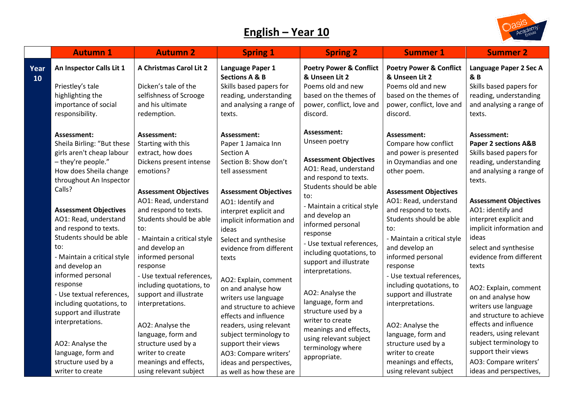## **English – Year 10**



|            | <b>Autumn 1</b>                                                                                                                                                                                                                                                                                                                                                                                                                                                          | <b>Autumn 2</b>                                                                                                                                                                                                                                                                                                                                                                                             | <b>Spring 1</b>                                                                                                                                                                                                                                                                                                                                                                                          | <b>Spring 2</b>                                                                                                                                                                                                                                                                                                                                                                                                                | <b>Summer 1</b>                                                                                                                                                                                                                                                                                                                                                                                                    | <b>Summer 2</b>                                                                                                                                                                                                                                                                                                                                                                                                                                        |
|------------|--------------------------------------------------------------------------------------------------------------------------------------------------------------------------------------------------------------------------------------------------------------------------------------------------------------------------------------------------------------------------------------------------------------------------------------------------------------------------|-------------------------------------------------------------------------------------------------------------------------------------------------------------------------------------------------------------------------------------------------------------------------------------------------------------------------------------------------------------------------------------------------------------|----------------------------------------------------------------------------------------------------------------------------------------------------------------------------------------------------------------------------------------------------------------------------------------------------------------------------------------------------------------------------------------------------------|--------------------------------------------------------------------------------------------------------------------------------------------------------------------------------------------------------------------------------------------------------------------------------------------------------------------------------------------------------------------------------------------------------------------------------|--------------------------------------------------------------------------------------------------------------------------------------------------------------------------------------------------------------------------------------------------------------------------------------------------------------------------------------------------------------------------------------------------------------------|--------------------------------------------------------------------------------------------------------------------------------------------------------------------------------------------------------------------------------------------------------------------------------------------------------------------------------------------------------------------------------------------------------------------------------------------------------|
| Year<br>10 | An Inspector Calls Lit 1<br>Priestley's tale<br>highlighting the<br>importance of social<br>responsibility.                                                                                                                                                                                                                                                                                                                                                              | A Christmas Carol Lit 2<br>Dicken's tale of the<br>selfishness of Scrooge<br>and his ultimate<br>redemption.                                                                                                                                                                                                                                                                                                | Language Paper 1<br><b>Sections A &amp; B</b><br>Skills based papers for<br>reading, understanding<br>and analysing a range of<br>texts.                                                                                                                                                                                                                                                                 | <b>Poetry Power &amp; Conflict</b><br>& Unseen Lit 2<br>Poems old and new<br>based on the themes of<br>power, conflict, love and<br>discord.                                                                                                                                                                                                                                                                                   | <b>Poetry Power &amp; Conflict</b><br>& Unseen Lit 2<br>Poems old and new<br>based on the themes of<br>power, conflict, love and<br>discord.                                                                                                                                                                                                                                                                       | Language Paper 2 Sec A<br><b>&amp; B</b><br>Skills based papers for<br>reading, understanding<br>and analysing a range of<br>texts.                                                                                                                                                                                                                                                                                                                    |
|            | Assessment:<br>Sheila Birling: "But these<br>girls aren't cheap labour<br>- they're people."<br>How does Sheila change<br>throughout An Inspector<br>Calls?<br><b>Assessment Objectives</b><br>AO1: Read, understand<br>and respond to texts.<br>Students should be able<br>to:<br>- Maintain a critical style<br>and develop an<br>informed personal<br>response<br>- Use textual references,<br>including quotations, to<br>support and illustrate<br>interpretations. | Assessment:<br>Starting with this<br>extract, how does<br>Dickens present intense<br>emotions?<br><b>Assessment Objectives</b><br>AO1: Read, understand<br>and respond to texts.<br>Students should be able<br>to:<br>- Maintain a critical style<br>and develop an<br>informed personal<br>response<br>- Use textual references,<br>including quotations, to<br>support and illustrate<br>interpretations. | Assessment:<br>Paper 1 Jamaica Inn<br>Section A<br>Section B: Show don't<br>tell assessment<br><b>Assessment Objectives</b><br>AO1: Identify and<br>interpret explicit and<br>implicit information and<br>ideas<br>Select and synthesise<br>evidence from different<br>texts<br>AO2: Explain, comment<br>on and analyse how<br>writers use language<br>and structure to achieve<br>effects and influence | Assessment:<br>Unseen poetry<br><b>Assessment Objectives</b><br>AO1: Read, understand<br>and respond to texts.<br>Students should be able<br>to:<br>- Maintain a critical style<br>and develop an<br>informed personal<br>response<br>- Use textual references,<br>including quotations, to<br>support and illustrate<br>interpretations.<br>AO2: Analyse the<br>language, form and<br>structure used by a<br>writer to create | Assessment:<br>Compare how conflict<br>and power is presented<br>in Ozymandias and one<br>other poem.<br><b>Assessment Objectives</b><br>AO1: Read, understand<br>and respond to texts.<br>Students should be able<br>to:<br>- Maintain a critical style<br>and develop an<br>informed personal<br>response<br>- Use textual references,<br>including quotations, to<br>support and illustrate<br>interpretations. | Assessment:<br><b>Paper 2 sections A&amp;B</b><br>Skills based papers for<br>reading, understanding<br>and analysing a range of<br>texts.<br><b>Assessment Objectives</b><br>AO1: identify and<br>interpret explicit and<br>implicit information and<br>ideas<br>select and synthesise<br>evidence from different<br>texts<br>AO2: Explain, comment<br>on and analyse how<br>writers use language<br>and structure to achieve<br>effects and influence |
|            | AO2: Analyse the<br>language, form and<br>structure used by a<br>writer to create                                                                                                                                                                                                                                                                                                                                                                                        | AO2: Analyse the<br>language, form and<br>structure used by a<br>writer to create<br>meanings and effects,<br>using relevant subject                                                                                                                                                                                                                                                                        | readers, using relevant<br>subject terminology to<br>support their views<br>AO3: Compare writers'<br>ideas and perspectives,<br>as well as how these are                                                                                                                                                                                                                                                 | meanings and effects,<br>using relevant subject<br>terminology where<br>appropriate.                                                                                                                                                                                                                                                                                                                                           | AO2: Analyse the<br>language, form and<br>structure used by a<br>writer to create<br>meanings and effects,<br>using relevant subject                                                                                                                                                                                                                                                                               | readers, using relevant<br>subject terminology to<br>support their views<br>AO3: Compare writers'<br>ideas and perspectives,                                                                                                                                                                                                                                                                                                                           |